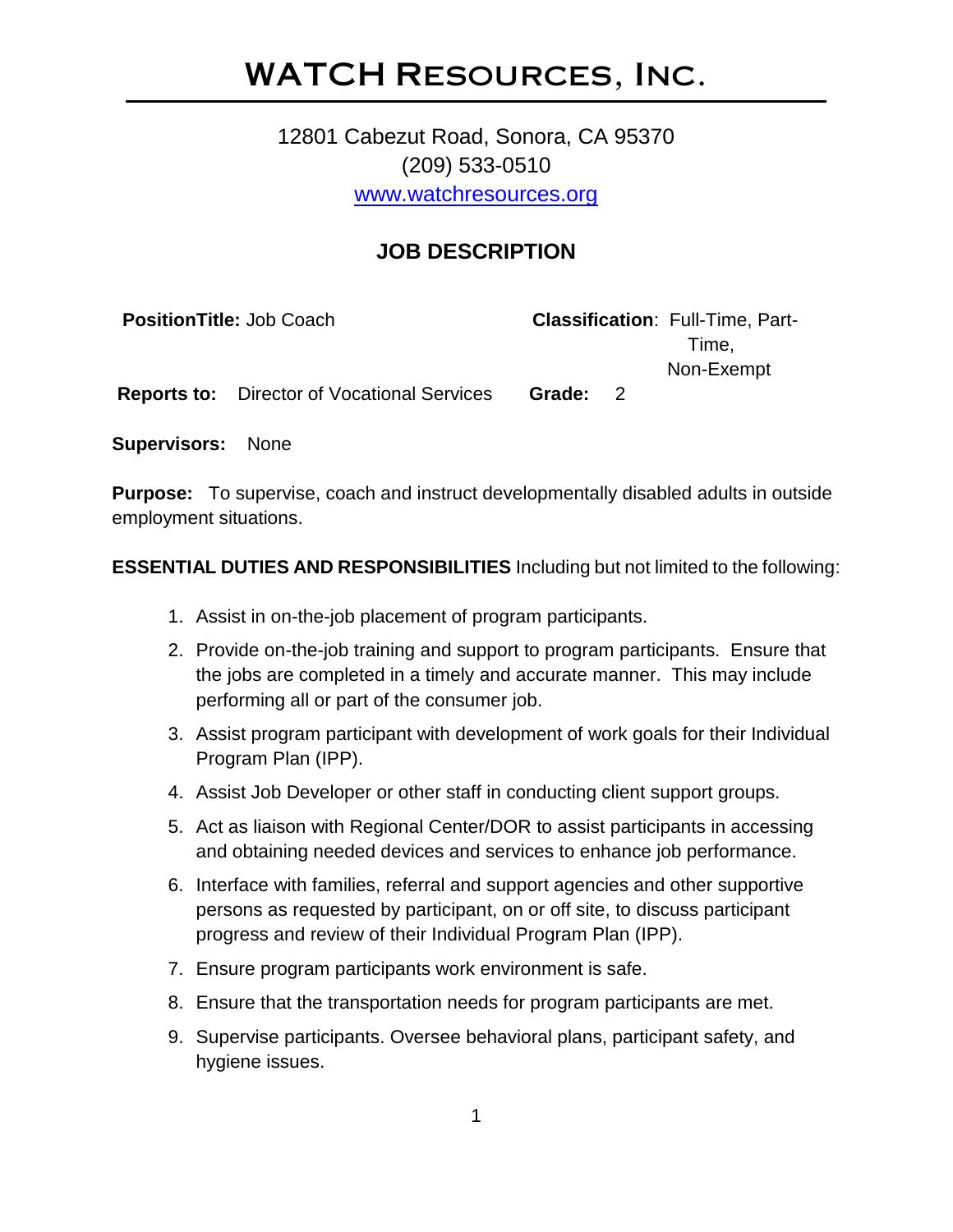# WATCH Resources, Inc.

# 12801 Cabezut Road, Sonora, CA 95370 (209) 533-0510 [www.watchresources.org](http://www.watchresources.org/)

# **JOB DESCRIPTION**

| <b>PositionTitle: Job Coach</b> |                                                    |          | <b>Classification: Full-Time, Part-</b> |
|---------------------------------|----------------------------------------------------|----------|-----------------------------------------|
|                                 |                                                    |          | Time.                                   |
|                                 |                                                    |          | Non-Exempt                              |
|                                 | <b>Reports to:</b> Director of Vocational Services | Grade: 2 |                                         |

**Supervisors:** None

**Purpose:** To supervise, coach and instruct developmentally disabled adults in outside employment situations.

#### **ESSENTIAL DUTIES AND RESPONSIBILITIES** Including but not limited to the following:

- 1. Assist in on-the-job placement of program participants.
- 2. Provide on-the-job training and support to program participants. Ensure that the jobs are completed in a timely and accurate manner. This may include performing all or part of the consumer job.
- 3. Assist program participant with development of work goals for their Individual Program Plan (IPP).
- 4. Assist Job Developer or other staff in conducting client support groups.
- 5. Act as liaison with Regional Center/DOR to assist participants in accessing and obtaining needed devices and services to enhance job performance.
- 6. Interface with families, referral and support agencies and other supportive persons as requested by participant, on or off site, to discuss participant progress and review of their Individual Program Plan (IPP).
- 7. Ensure program participants work environment is safe.
- 8. Ensure that the transportation needs for program participants are met.
- 9. Supervise participants. Oversee behavioral plans, participant safety, and hygiene issues.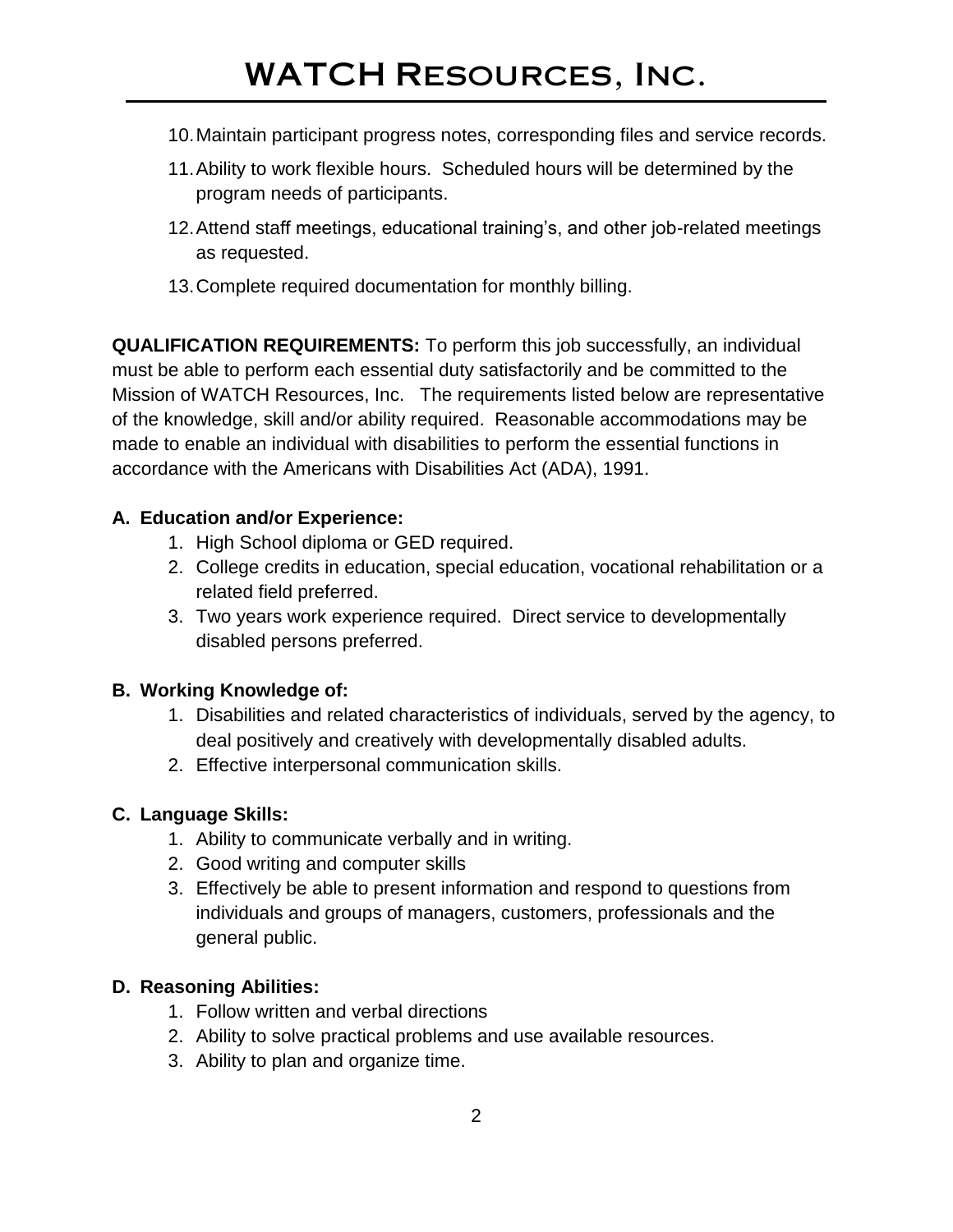# WATCH Resources, Inc.

- 10.Maintain participant progress notes, corresponding files and service records.
- 11.Ability to work flexible hours. Scheduled hours will be determined by the program needs of participants.
- 12.Attend staff meetings, educational training's, and other job-related meetings as requested.
- 13.Complete required documentation for monthly billing.

**QUALIFICATION REQUIREMENTS:** To perform this job successfully, an individual must be able to perform each essential duty satisfactorily and be committed to the Mission of WATCH Resources, Inc. The requirements listed below are representative of the knowledge, skill and/or ability required. Reasonable accommodations may be made to enable an individual with disabilities to perform the essential functions in accordance with the Americans with Disabilities Act (ADA), 1991.

## **A. Education and/or Experience:**

- 1. High School diploma or GED required.
- 2. College credits in education, special education, vocational rehabilitation or a related field preferred.
- 3. Two years work experience required. Direct service to developmentally disabled persons preferred.

#### **B. Working Knowledge of:**

- 1. Disabilities and related characteristics of individuals, served by the agency, to deal positively and creatively with developmentally disabled adults.
- 2. Effective interpersonal communication skills.

## **C. Language Skills:**

- 1. Ability to communicate verbally and in writing.
- 2. Good writing and computer skills
- 3. Effectively be able to present information and respond to questions from individuals and groups of managers, customers, professionals and the general public.

#### **D. Reasoning Abilities:**

- 1. Follow written and verbal directions
- 2. Ability to solve practical problems and use available resources.
- 3. Ability to plan and organize time.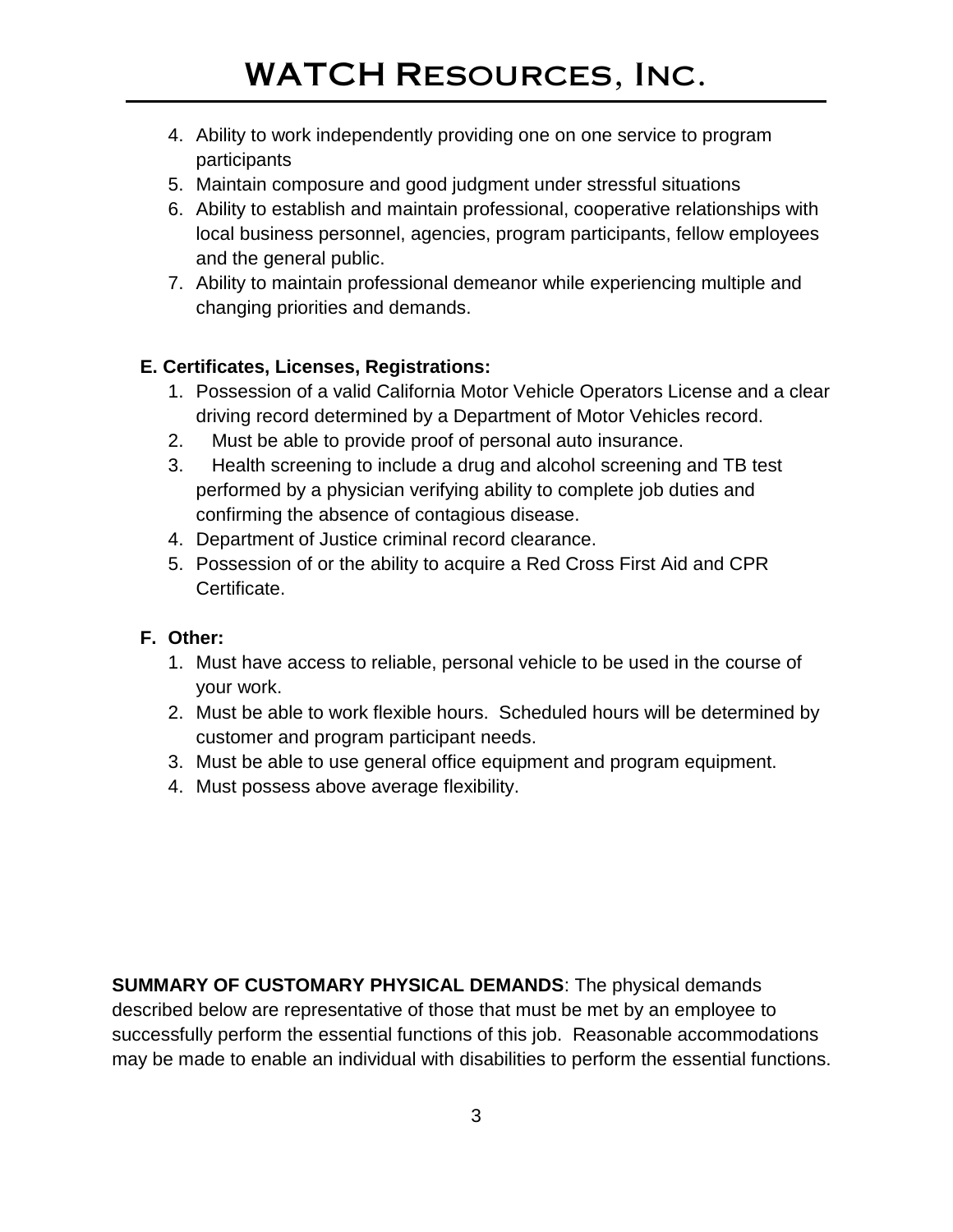- 4. Ability to work independently providing one on one service to program participants
- 5. Maintain composure and good judgment under stressful situations
- 6. Ability to establish and maintain professional, cooperative relationships with local business personnel, agencies, program participants, fellow employees and the general public.
- 7. Ability to maintain professional demeanor while experiencing multiple and changing priorities and demands.

# **E. Certificates, Licenses, Registrations:**

- 1. Possession of a valid California Motor Vehicle Operators License and a clear driving record determined by a Department of Motor Vehicles record.
- 2. Must be able to provide proof of personal auto insurance.
- 3. Health screening to include a drug and alcohol screening and TB test performed by a physician verifying ability to complete job duties and confirming the absence of contagious disease.
- 4. Department of Justice criminal record clearance.
- 5. Possession of or the ability to acquire a Red Cross First Aid and CPR Certificate.

# **F. Other:**

- 1. Must have access to reliable, personal vehicle to be used in the course of your work.
- 2. Must be able to work flexible hours. Scheduled hours will be determined by customer and program participant needs.
- 3. Must be able to use general office equipment and program equipment.
- 4. Must possess above average flexibility.

**SUMMARY OF CUSTOMARY PHYSICAL DEMANDS**: The physical demands described below are representative of those that must be met by an employee to successfully perform the essential functions of this job. Reasonable accommodations may be made to enable an individual with disabilities to perform the essential functions.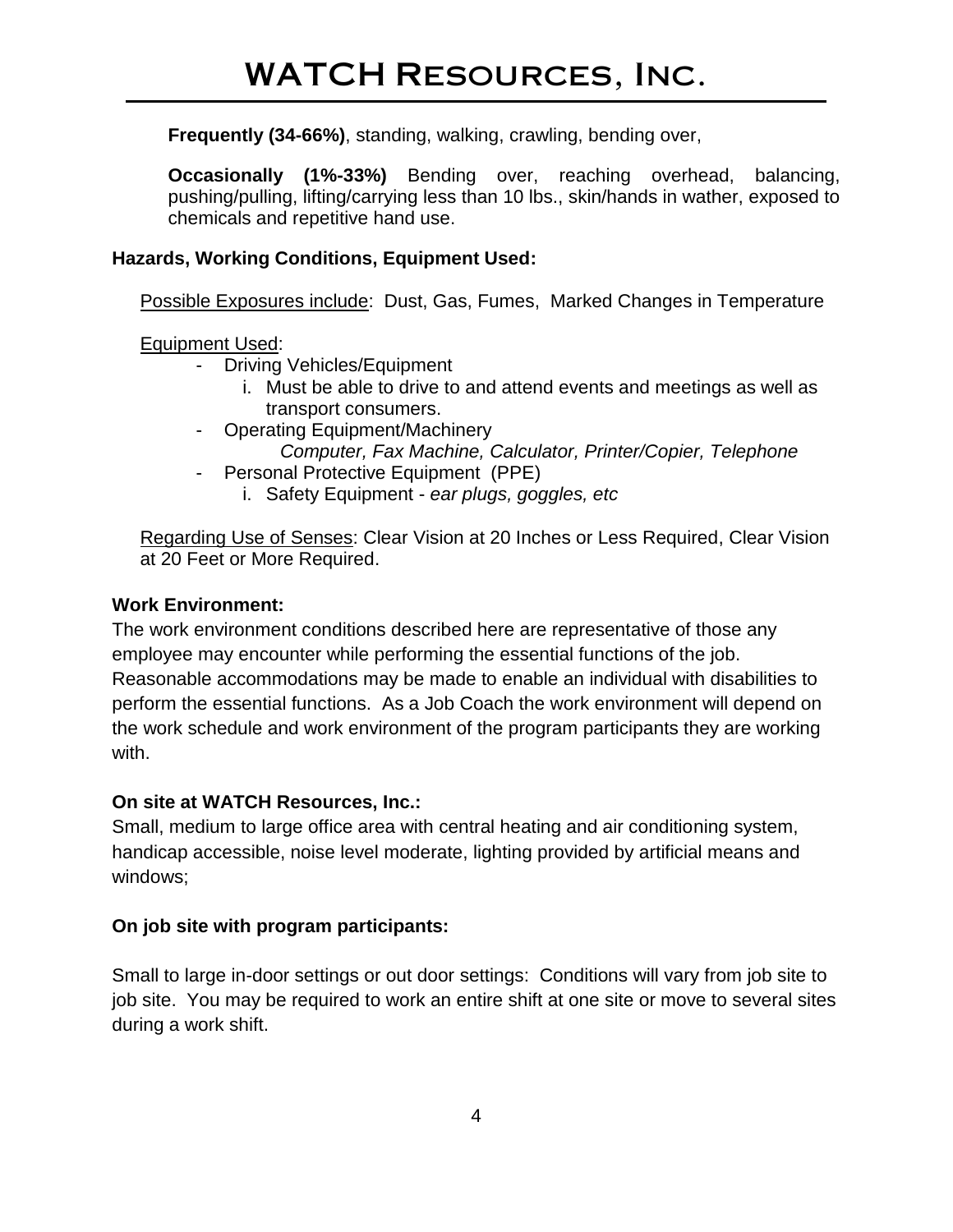**Frequently (34-66%)**, standing, walking, crawling, bending over,

**Occasionally (1%-33%)** Bending over, reaching overhead, balancing, pushing/pulling, lifting/carrying less than 10 lbs., skin/hands in wather, exposed to chemicals and repetitive hand use.

#### **Hazards, Working Conditions, Equipment Used:**

Possible Exposures include: Dust, Gas, Fumes, Marked Changes in Temperature

Equipment Used:

- Driving Vehicles/Equipment
	- i. Must be able to drive to and attend events and meetings as well as transport consumers.
- Operating Equipment/Machinery *Computer, Fax Machine, Calculator, Printer/Copier, Telephone*
- Personal Protective Equipment (PPE)
	- i. Safety Equipment *ear plugs, goggles, etc*

Regarding Use of Senses: Clear Vision at 20 Inches or Less Required, Clear Vision at 20 Feet or More Required.

#### **Work Environment:**

The work environment conditions described here are representative of those any employee may encounter while performing the essential functions of the job. Reasonable accommodations may be made to enable an individual with disabilities to perform the essential functions. As a Job Coach the work environment will depend on the work schedule and work environment of the program participants they are working with.

## **On site at WATCH Resources, Inc.:**

Small, medium to large office area with central heating and air conditioning system, handicap accessible, noise level moderate, lighting provided by artificial means and windows;

## **On job site with program participants:**

Small to large in-door settings or out door settings: Conditions will vary from job site to job site. You may be required to work an entire shift at one site or move to several sites during a work shift.